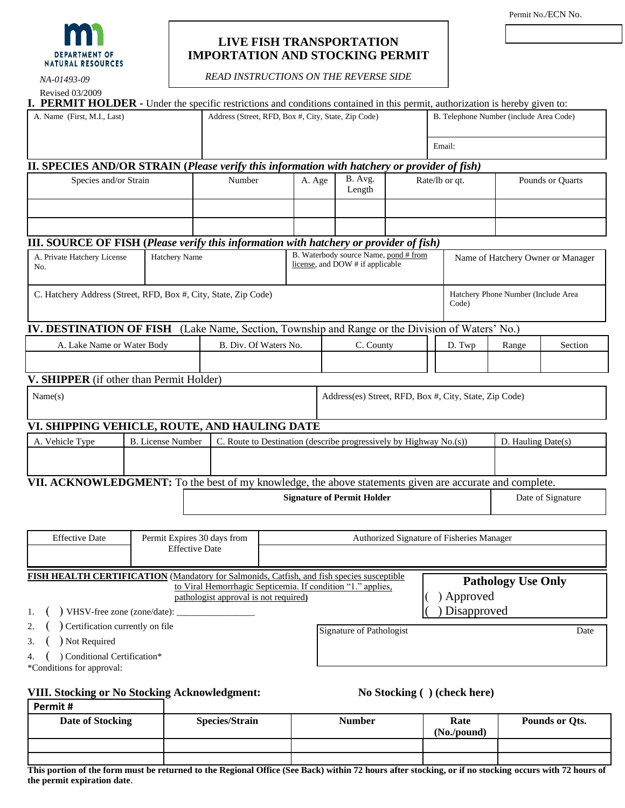

# **LIVE FISH TRANSPORTATION IMPORTATION AND STOCKING PERMIT**

*READ INSTRUCTIONS ON THE REVERSE SIDE*

| NA-01493-09                                                                                         |                               | <b>READ INSTRUCTIONS ON THE REVERSE SIDE</b>                                                                                                                                             |                                                                                                                                              |        |                                                                           |                                                        |  |                                         |                              |                                     |      |
|-----------------------------------------------------------------------------------------------------|-------------------------------|------------------------------------------------------------------------------------------------------------------------------------------------------------------------------------------|----------------------------------------------------------------------------------------------------------------------------------------------|--------|---------------------------------------------------------------------------|--------------------------------------------------------|--|-----------------------------------------|------------------------------|-------------------------------------|------|
| Revised 03/2009                                                                                     |                               |                                                                                                                                                                                          |                                                                                                                                              |        |                                                                           |                                                        |  |                                         |                              |                                     |      |
| A. Name (First, M.I., Last)                                                                         |                               | <b>PERMIT HOLDER</b> - Under the specific restrictions and conditions contained in this permit, authorization is hereby given to:<br>Address (Street, RFD, Box #, City, State, Zip Code) |                                                                                                                                              |        |                                                                           |                                                        |  | B. Telephone Number (include Area Code) |                              |                                     |      |
|                                                                                                     |                               |                                                                                                                                                                                          |                                                                                                                                              |        |                                                                           |                                                        |  | Email:                                  |                              |                                     |      |
|                                                                                                     |                               |                                                                                                                                                                                          |                                                                                                                                              |        |                                                                           |                                                        |  |                                         |                              |                                     |      |
| <b>II. SPECIES AND/OR STRAIN (Please verify this information with hatchery or provider of fish)</b> |                               |                                                                                                                                                                                          | Number                                                                                                                                       | A. Age |                                                                           | B. Avg.                                                |  |                                         | Rate/lb or qt.               |                                     |      |
| Species and/or Strain                                                                               |                               |                                                                                                                                                                                          |                                                                                                                                              |        | Length                                                                    |                                                        |  |                                         |                              | Pounds or Quarts                    |      |
| <b>III. SOURCE OF FISH (Please verify this information with hatchery or provider of fish)</b>       |                               |                                                                                                                                                                                          |                                                                                                                                              |        |                                                                           |                                                        |  |                                         |                              |                                     |      |
| A. Private Hatchery License<br>No.                                                                  | Hatchery Name                 |                                                                                                                                                                                          |                                                                                                                                              |        | B. Waterbody source Name, pond # from<br>license, and DOW # if applicable |                                                        |  | Name of Hatchery Owner or Manager       |                              |                                     |      |
| C. Hatchery Address (Street, RFD, Box #, City, State, Zip Code)                                     |                               |                                                                                                                                                                                          |                                                                                                                                              |        |                                                                           |                                                        |  |                                         | Code)                        | Hatchery Phone Number (Include Area |      |
| <b>IV. DESTINATION OF FISH</b>                                                                      |                               | (Lake Name, Section, Township and Range or the Division of Waters' No.)                                                                                                                  |                                                                                                                                              |        |                                                                           |                                                        |  |                                         |                              |                                     |      |
| A. Lake Name or Water Body                                                                          |                               |                                                                                                                                                                                          | B. Div. Of Waters No.                                                                                                                        |        | C. County                                                                 |                                                        |  | D. Twp                                  | Range                        | Section                             |      |
|                                                                                                     |                               |                                                                                                                                                                                          |                                                                                                                                              |        |                                                                           |                                                        |  |                                         |                              |                                     |      |
| V. SHIPPER (if other than Permit Holder)                                                            |                               |                                                                                                                                                                                          |                                                                                                                                              |        |                                                                           |                                                        |  |                                         |                              |                                     |      |
| Name(s)                                                                                             |                               |                                                                                                                                                                                          |                                                                                                                                              |        |                                                                           | Address(es) Street, RFD, Box #, City, State, Zip Code) |  |                                         |                              |                                     |      |
| VI. SHIPPING VEHICLE, ROUTE, AND HAULING DATE                                                       |                               |                                                                                                                                                                                          |                                                                                                                                              |        |                                                                           |                                                        |  |                                         |                              |                                     |      |
| A. Vehicle Type                                                                                     | <b>B.</b> License Number      | C. Route to Destination (describe progressively by Highway No.(s))                                                                                                                       |                                                                                                                                              |        |                                                                           |                                                        |  |                                         | D. Hauling Date(s)           |                                     |      |
|                                                                                                     |                               |                                                                                                                                                                                          |                                                                                                                                              |        |                                                                           |                                                        |  |                                         |                              |                                     |      |
|                                                                                                     |                               |                                                                                                                                                                                          |                                                                                                                                              |        |                                                                           |                                                        |  |                                         |                              |                                     |      |
|                                                                                                     |                               |                                                                                                                                                                                          | VII. ACKNOWLEDGMENT: To the best of my knowledge, the above statements given are accurate and complete.<br><b>Signature of Permit Holder</b> |        |                                                                           |                                                        |  |                                         | Date of Signature            |                                     |      |
|                                                                                                     |                               |                                                                                                                                                                                          |                                                                                                                                              |        |                                                                           |                                                        |  |                                         |                              |                                     |      |
| <b>Effective Date</b><br>Permit Expires 30 days from<br>Authorized Signature of Fisheries Manager   |                               |                                                                                                                                                                                          |                                                                                                                                              |        |                                                                           |                                                        |  |                                         |                              |                                     |      |
|                                                                                                     |                               | <b>Effective Date</b>                                                                                                                                                                    |                                                                                                                                              |        |                                                                           |                                                        |  |                                         |                              |                                     |      |
| <b>FISH HEALTH CERTIFICATION</b> (Mandatory for Salmonids, Catfish, and fish species susceptible    |                               |                                                                                                                                                                                          |                                                                                                                                              |        |                                                                           |                                                        |  |                                         |                              | <b>Pathology Use Only</b>           |      |
|                                                                                                     |                               | to Viral Hemorrhagic Septicemia. If condition "1." applies,<br>pathologist approval is not required)                                                                                     |                                                                                                                                              |        |                                                                           |                                                        |  |                                         | ) Approved                   |                                     |      |
| 1.                                                                                                  | VHSV-free zone (zone/date): _ |                                                                                                                                                                                          |                                                                                                                                              |        |                                                                           |                                                        |  |                                         | Disapproved                  |                                     |      |
| Certification currently on file<br>2.<br>Not Required<br>3.                                         |                               |                                                                                                                                                                                          |                                                                                                                                              |        |                                                                           | Signature of Pathologist                               |  |                                         |                              |                                     | Date |
| ) Conditional Certification*<br>*Conditions for approval:                                           |                               |                                                                                                                                                                                          |                                                                                                                                              |        |                                                                           |                                                        |  |                                         |                              |                                     |      |
| <b>VIII. Stocking or No Stocking Acknowledgment:</b>                                                |                               |                                                                                                                                                                                          |                                                                                                                                              |        |                                                                           |                                                        |  |                                         | No Stocking ( ) (check here) |                                     |      |
| Permit#                                                                                             |                               |                                                                                                                                                                                          |                                                                                                                                              |        |                                                                           |                                                        |  |                                         |                              |                                     |      |

| Date of Stocking | <b>Species/Strain</b> | <b>Number</b> | Rate<br>$(No$ ./pound) | Pounds or Qts. |  |
|------------------|-----------------------|---------------|------------------------|----------------|--|
|                  |                       |               |                        |                |  |

**This portion of the form must be returned to the Regional Office (See Back) within 72 hours after stocking, or if no stocking occurs with 72 hours of the permit expiration date**.